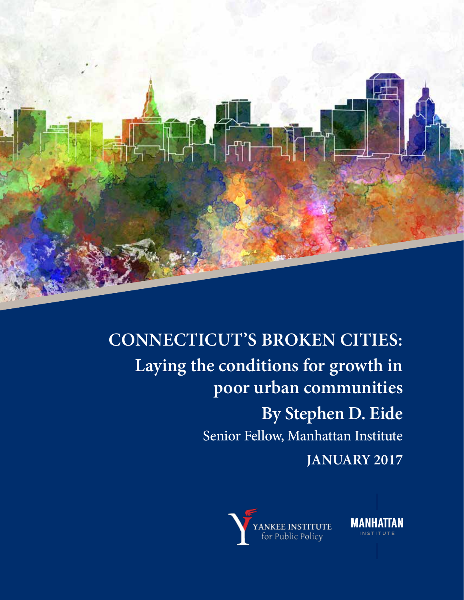

# **CONNECTICUT'S BROKEN CITIES: Laying the conditions for growth in poor urban communities By Stephen D. Eide** Senior Fellow, Manhattan Institute **JANUARY 2017**



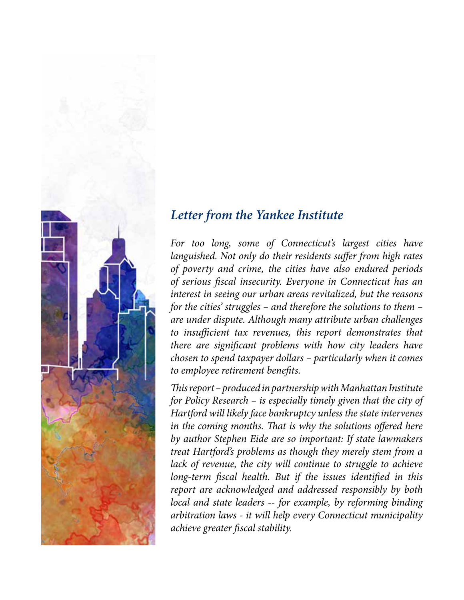

#### *Letter from the Yankee Institute*

*For too long, some of Connecticut's largest cities have languished. Not only do their residents suffer from high rates of poverty and crime, the cities have also endured periods of serious fiscal insecurity. Everyone in Connecticut has an interest in seeing our urban areas revitalized, but the reasons for the cities' struggles – and therefore the solutions to them – are under dispute. Although many attribute urban challenges to insufficient tax revenues, this report demonstrates that there are significant problems with how city leaders have chosen to spend taxpayer dollars – particularly when it comes to employee retirement benefits.* 

*This report – produced in partnership with Manhattan Institute for Policy Research – is especially timely given that the city of Hartford will likely face bankruptcy unless the state intervenes in the coming months. That is why the solutions offered here by author Stephen Eide are so important: If state lawmakers treat Hartford's problems as though they merely stem from a*  lack of revenue, the city will continue to struggle to achieve *long-term fiscal health. But if the issues identified in this report are acknowledged and addressed responsibly by both local and state leaders -- for example, by reforming binding arbitration laws - it will help every Connecticut municipality achieve greater fiscal stability.*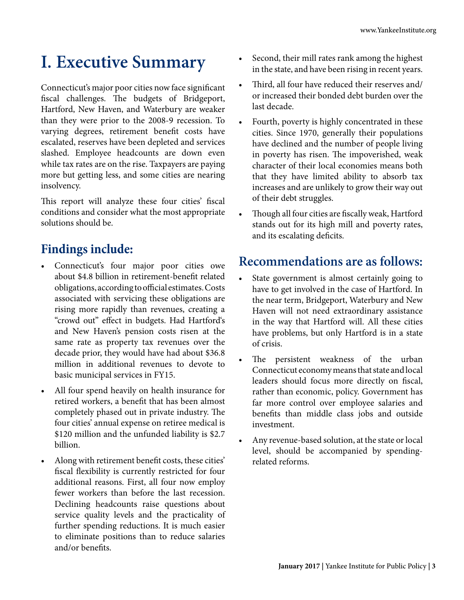### **I. Executive Summary**

Connecticut's major poor cities now face significant fiscal challenges. The budgets of Bridgeport, Hartford, New Haven, and Waterbury are weaker than they were prior to the 2008-9 recession. To varying degrees, retirement benefit costs have escalated, reserves have been depleted and services slashed. Employee headcounts are down even while tax rates are on the rise. Taxpayers are paying more but getting less, and some cities are nearing insolvency.

This report will analyze these four cities' fiscal conditions and consider what the most appropriate solutions should be.

#### **Findings include:**

- Connecticut's four major poor cities owe about \$4.8 billion in retirement-benefit related obligations, according to official estimates. Costs associated with servicing these obligations are rising more rapidly than revenues, creating a "crowd out" effect in budgets. Had Hartford's and New Haven's pension costs risen at the same rate as property tax revenues over the decade prior, they would have had about \$36.8 million in additional revenues to devote to basic municipal services in FY15.
- All four spend heavily on health insurance for retired workers, a benefit that has been almost completely phased out in private industry. The four cities' annual expense on retiree medical is \$120 million and the unfunded liability is \$2.7 billion.
- Along with retirement benefit costs, these cities' fiscal flexibility is currently restricted for four additional reasons. First, all four now employ fewer workers than before the last recession. Declining headcounts raise questions about service quality levels and the practicality of further spending reductions. It is much easier to eliminate positions than to reduce salaries and/or benefits.
- Second, their mill rates rank among the highest in the state, and have been rising in recent years.
- Third, all four have reduced their reserves and/ or increased their bonded debt burden over the last decade.
- Fourth, poverty is highly concentrated in these cities. Since 1970, generally their populations have declined and the number of people living in poverty has risen. The impoverished, weak character of their local economies means both that they have limited ability to absorb tax increases and are unlikely to grow their way out of their debt struggles.
- Though all four cities are fiscally weak, Hartford stands out for its high mill and poverty rates, and its escalating deficits.

#### **Recommendations are as follows:**

- State government is almost certainly going to have to get involved in the case of Hartford. In the near term, Bridgeport, Waterbury and New Haven will not need extraordinary assistance in the way that Hartford will. All these cities have problems, but only Hartford is in a state of crisis.
- The persistent weakness of the urban Connecticut economy means that state and local leaders should focus more directly on fiscal, rather than economic, policy. Government has far more control over employee salaries and benefits than middle class jobs and outside investment.
- Any revenue-based solution, at the state or local level, should be accompanied by spendingrelated reforms.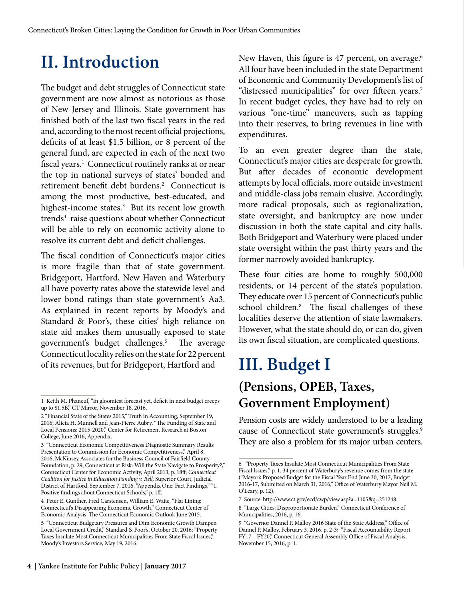# **II. Introduction**

The budget and debt struggles of Connecticut state government are now almost as notorious as those of New Jersey and Illinois. State government has finished both of the last two fiscal years in the red and, according to the most recent official projections, deficits of at least \$1.5 billion, or 8 percent of the general fund, are expected in each of the next two fiscal years.<sup>1</sup> Connecticut routinely ranks at or near the top in national surveys of states' bonded and retirement benefit debt burdens.<sup>2</sup> Connecticut is among the most productive, best-educated, and highest-income states.<sup>3</sup> But its recent low growth trends<sup>4</sup> raise questions about whether Connecticut will be able to rely on economic activity alone to resolve its current debt and deficit challenges.

The fiscal condition of Connecticut's major cities is more fragile than that of state government. Bridgeport, Hartford, New Haven and Waterbury all have poverty rates above the statewide level and lower bond ratings than state government's Aa3. As explained in recent reports by Moody's and Standard & Poor's, these cities' high reliance on state aid makes them unusually exposed to state government's budget challenges.5 The average Connecticut locality relies on the state for 22 percent of its revenues, but for Bridgeport, Hartford and

New Haven, this figure is 47 percent, on average.<sup>6</sup> All four have been included in the state Department of Economic and Community Development's list of "distressed municipalities" for over fifteen years.<sup>7</sup> In recent budget cycles, they have had to rely on various "one-time" maneuvers, such as tapping into their reserves, to bring revenues in line with expenditures.

To an even greater degree than the state, Connecticut's major cities are desperate for growth. But after decades of economic development attempts by local officials, more outside investment and middle-class jobs remain elusive. Accordingly, more radical proposals, such as regionalization, state oversight, and bankruptcy are now under discussion in both the state capital and city halls. Both Bridgeport and Waterbury were placed under state oversight within the past thirty years and the former narrowly avoided bankruptcy.

These four cities are home to roughly 500,000 residents, or 14 percent of the state's population. They educate over 15 percent of Connecticut's public school children.8 The fiscal challenges of these localities deserve the attention of state lawmakers. However, what the state should do, or can do, given its own fiscal situation, are complicated questions.

### **III. Budget I (Pensions, OPEB, Taxes, Government Employment)**

Pension costs are widely understood to be a leading cause of Connecticut state government's struggles.<sup>9</sup> They are also a problem for its major urban centers.

<sup>1</sup> Keith M. Phaneuf, "In gloomiest forecast yet, deficit in next budget creeps up to \$1.5B," CT Mirror, November 18, 2016.

<sup>2 &</sup>quot;Financial State of the States 2015," Truth in Accounting, September 19, 2016; Alicia H. Munnell and Jean-Pierre Aubry, "The Funding of State and Local Pensions: 2015-2020," Center for Retirement Research at Boston College, June 2016, Appendix.

<sup>3 &</sup>quot;Connecticut Economic Competitiveness Diagnostic Summary Results Presentation to Commission for Economic Competitiveness," April 8, 2016, McKinsey Associates for the Business Council of Fairfield County Foundation, p. 29; Connecticut at Risk: Will the State Navigate to Prosperity?," Connecticut Center for Economic Activity, April 2013, p. 18ff; *Connecticut Coalition for Justice in Education Funding v. Rell,* Superior Court, Judicial District of Hartford, September 7, 2016, "Appendix One: Fact Findings," "1. Positive findings about Connecticut Schools," p. 1ff.

<sup>4</sup> Peter E. Gunther, Fred Carstensen, William E. Waite, "Flat Lining: Connecticut's Disappearing Economic Growth," Connecticut Center of Economic Analysis, The Connecticut Economic Outlook June 2015.

<sup>5 &</sup>quot;Connecticut Budgetary Pressures and Dim Economic Growth Dampen Local Government Credit," Standard & Poor's, October 20, 2016; "Property Taxes Insulate Most Connecticut Municipalities From State Fiscal Issues," Moody's Investors Service, May 19, 2016.

<sup>6 &</sup>quot;Property Taxes Insulate Most Connecticut Municipalities From State Fiscal Issues," p. 1. 34 percent of Waterbury's revenue comes from the state ("Mayor's Proposed Budget for the Fiscal Year End June 30, 2017, Budget 2016-17, Submitted on March 31, 2016," Office of Waterbury Mayor Neil M. O'Leary, p. 12).

<sup>7</sup> Source: http://www.ct.gov/ecd/cwp/view.asp?a=1105&q=251248.

<sup>8 &</sup>quot;Large Cities: Disproportionate Burden," Connecticut Conference of Municipalities, 2016, p. 16.

<sup>9 &</sup>quot;Governor Dannel P. Malloy 2016 State of the State Address," Office of Dannel P. Malloy, February 3, 2016, p. 2-3; "Fiscal Accountability Report FY17 – FY20," Connecticut General Assembly Office of Fiscal Analysis, November 15, 2016, p. 1.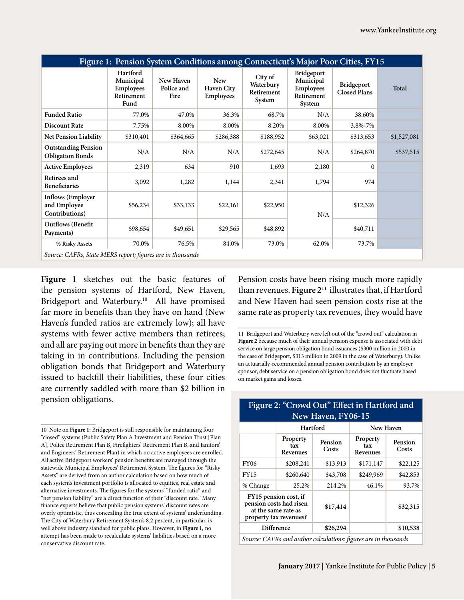| Figure 1: Pension System Conditions among Connecticut's Major Poor Cities, FY15 |                                                                 |                                 |                                                     |                                              |                                                                     |                                          |              |
|---------------------------------------------------------------------------------|-----------------------------------------------------------------|---------------------------------|-----------------------------------------------------|----------------------------------------------|---------------------------------------------------------------------|------------------------------------------|--------------|
|                                                                                 | Hartford<br>Municipal<br><b>Employees</b><br>Retirement<br>Fund | New Haven<br>Police and<br>Fire | <b>New</b><br><b>Haven City</b><br><b>Employees</b> | City of<br>Waterbury<br>Retirement<br>System | Bridgeport<br>Municipal<br><b>Employees</b><br>Retirement<br>System | <b>Bridgeport</b><br><b>Closed Plans</b> | <b>Total</b> |
| <b>Funded Ratio</b>                                                             | 77.0%                                                           | 47.0%                           | 36.3%                                               | 68.7%                                        | N/A                                                                 | 38.60%                                   |              |
| <b>Discount Rate</b>                                                            | 7.75%                                                           | 8.00%                           | 8.00%                                               | 8.20%                                        | 8.00%                                                               | 3.8%-7%                                  |              |
| Net Pension Liability                                                           | \$310,401                                                       | \$364,665                       | \$286,388                                           | \$188,952                                    | \$63,021                                                            | \$313,653                                | \$1,527,081  |
| <b>Outstanding Pension</b><br><b>Obligation Bonds</b>                           | N/A                                                             | N/A                             | N/A                                                 | \$272,645                                    | N/A                                                                 | \$264,870                                | \$537,515    |
| <b>Active Employees</b>                                                         | 2,319                                                           | 634                             | 910                                                 | 1,693                                        | 2,180                                                               | 0                                        |              |
| Retirees and<br><b>Beneficiaries</b>                                            | 3,092                                                           | 1,282                           | 1,144                                               | 2,341                                        | 1,794                                                               | 974                                      |              |
| <b>Inflows</b> (Employer<br>and Employee<br>Contributions)                      | \$56,234                                                        | \$33,133                        | \$22,161                                            | \$22,950                                     | N/A                                                                 | \$12,326                                 |              |
| <b>Outflows</b> (Benefit<br>Payments)                                           | \$98,654                                                        | \$49,651                        | \$29,565                                            | \$48,892                                     |                                                                     | \$40,711                                 |              |
| % Risky Assets                                                                  | 70.0%                                                           | 76.5%                           | 84.0%                                               | 73.0%                                        | 62.0%                                                               | 73.7%                                    |              |
| Source: CAFRs, State MERS report; figures are in thousands                      |                                                                 |                                 |                                                     |                                              |                                                                     |                                          |              |

**Figure 1** sketches out the basic features of the pension systems of Hartford, New Haven, Bridgeport and Waterbury.<sup>10</sup> All have promised far more in benefits than they have on hand (New Haven's funded ratios are extremely low); all have systems with fewer active members than retirees; and all are paying out more in benefits than they are taking in in contributions. Including the pension obligation bonds that Bridgeport and Waterbury issued to backfill their liabilities, these four cities are currently saddled with more than \$2 billion in pension obligations.

Pension costs have been rising much more rapidly than revenues. **Figure 211** illustrates that, if Hartford and New Haven had seen pension costs rise at the same rate as property tax revenues, they would have

| New Haven, F100-15                                                                                |                             |                  |                             |                  |  |  |
|---------------------------------------------------------------------------------------------------|-----------------------------|------------------|-----------------------------|------------------|--|--|
|                                                                                                   | Hartford                    |                  | <b>New Haven</b>            |                  |  |  |
|                                                                                                   | Property<br>tax<br>Revenues | Pension<br>Costs | Property<br>tax<br>Revenues | Pension<br>Costs |  |  |
| <b>FY06</b>                                                                                       | \$208,241                   | \$13,913         | \$171,147                   | \$22,125         |  |  |
| <b>FY15</b>                                                                                       | \$260,640                   | \$43,708         | \$249,969                   | \$42,853         |  |  |
| % Change                                                                                          | 25.2%                       | 214.2%           | 46.1%                       | 93.7%            |  |  |
| FY15 pension cost, if<br>pension costs had risen<br>at the same rate as<br>property tax revenues? |                             | \$17,414         |                             | \$32,315         |  |  |
|                                                                                                   | <b>Difference</b>           | \$26,294         |                             | \$10,538         |  |  |
| Source: CAFRs and author calculations: figures are in thousands                                   |                             |                  |                             |                  |  |  |

#### **Figure 2: "Crowd Out" Effect in Hartford and New Haven, FY06-15**

<sup>10</sup> Note on **Figure 1**: Bridgeport is still responsible for maintaining four "closed" systems (Public Safety Plan A Investment and Pension Trust [Plan A], Police Retirement Plan B, Firefighters' Retirement Plan B, and Janitors' and Engineers' Retirement Plan) in which no active employees are enrolled. All active Bridgeport workers' pension benefits are managed through the statewide Municipal Employees' Retirement System. The figures for "Risky Assets" are derived from an author calculation based on how much of each system's investment portfolio is allocated to equities, real estate and alternative investments. The figures for the systems' "funded ratio" and "net pension liability" are a direct function of their "discount rate." Many finance experts believe that public pension systems' discount rates are overly optimistic, thus concealing the true extent of systems' underfunding. The City of Waterbury Retirement System's 8.2 percent, in particular, is well above industry standard for public plans. However, in **Figure 1**, no attempt has been made to recalculate systems' liabilities based on a more conservative discount rate.

<sup>11</sup> Bridgeport and Waterbury were left out of the "crowd out" calculation in **Figure 2** because much of their annual pension expense is associated with debt service on large pension obligation bond issuances (\$300 million in 2000 in the case of Bridgeport, \$313 million in 2009 in the case of Waterbury). Unlike an actuarially-recommended annual pension contribution by an employer sponsor, debt service on a pension obligation bond does not fluctuate based on market gains and losses.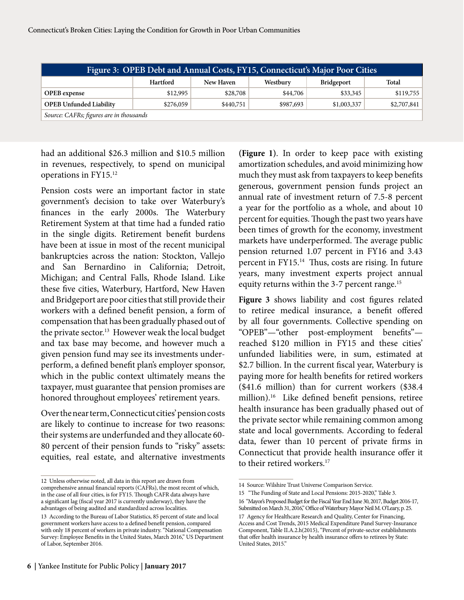| Figure 3: OPEB Debt and Annual Costs, FY15, Connecticut's Major Poor Cities |                                                                 |           |           |             |             |  |  |
|-----------------------------------------------------------------------------|-----------------------------------------------------------------|-----------|-----------|-------------|-------------|--|--|
|                                                                             | Hartford<br>Westbury<br>Total<br>New Haven<br><b>Bridgeport</b> |           |           |             |             |  |  |
| <b>OPEB</b> expense                                                         | \$12,995                                                        | \$28,708  | \$44,706  | \$33,345    | \$119,755   |  |  |
| <b>OPEB Unfunded Liability</b>                                              | \$276,059                                                       | \$440,751 | \$987,693 | \$1,003,337 | \$2,707,841 |  |  |
| Source: CAFRs; figures are in thousands                                     |                                                                 |           |           |             |             |  |  |

had an additional \$26.3 million and \$10.5 million in revenues, respectively, to spend on municipal operations in FY15.12

Pension costs were an important factor in state government's decision to take over Waterbury's finances in the early 2000s. The Waterbury Retirement System at that time had a funded ratio in the single digits. Retirement benefit burdens have been at issue in most of the recent municipal bankruptcies across the nation: Stockton, Vallejo and San Bernardino in California; Detroit, Michigan; and Central Falls, Rhode Island. Like these five cities, Waterbury, Hartford, New Haven and Bridgeport are poor cities that still provide their workers with a defined benefit pension, a form of compensation that has been gradually phased out of the private sector.<sup>13</sup> However weak the local budget and tax base may become, and however much a given pension fund may see its investments underperform, a defined benefit plan's employer sponsor, which in the public context ultimately means the taxpayer, must guarantee that pension promises are honored throughout employees' retirement years.

Over the near term, Connecticut cities' pension costs are likely to continue to increase for two reasons: their systems are underfunded and they allocate 60- 80 percent of their pension funds to "risky" assets: equities, real estate, and alternative investments

**(Figure 1)**. In order to keep pace with existing amortization schedules, and avoid minimizing how much they must ask from taxpayers to keep benefits generous, government pension funds project an annual rate of investment return of 7.5-8 percent a year for the portfolio as a whole, and about 10 percent for equities. Though the past two years have been times of growth for the economy, investment markets have underperformed. The average public pension returned 1.07 percent in FY16 and 3.43 percent in FY15.14 Thus, costs are rising. In future years, many investment experts project annual equity returns within the 3-7 percent range.<sup>15</sup>

**Figure 3** shows liability and cost figures related to retiree medical insurance, a benefit offered by all four governments. Collective spending on "OPEB"—"other post-employment benefits" reached \$120 million in FY15 and these cities' unfunded liabilities were, in sum, estimated at \$2.7 billion. In the current fiscal year, Waterbury is paying more for health benefits for retired workers (\$41.6 million) than for current workers (\$38.4 million).16 Like defined benefit pensions, retiree health insurance has been gradually phased out of the private sector while remaining common among state and local governments. According to federal data, fewer than 10 percent of private firms in Connecticut that provide health insurance offer it to their retired workers.<sup>17</sup>

United States, 2015."

that offer health insurance by health insurance offers to retirees by State:

<sup>12</sup> Unless otherwise noted, all data in this report are drawn from comprehensive annual financial reports (CAFRs), the most recent of which, in the case of all four cities, is for FY15. Though CAFR data always have a significant lag (fiscal year 2017 is currently underway), they have the advantages of being audited and standardized across localities.

<sup>13</sup> According to the Bureau of Labor Statistics, 85 percent of state and local government workers have access to a defined benefit pension, compared with only 18 percent of workers in private industry. "National Compensation Survey: Employee Benefits in the United States, March 2016," US Department of Labor, September 2016.

<sup>14</sup> Source: Wilshire Trust Universe Comparison Service.

<sup>15 &</sup>quot;The Funding of State and Local Pensions: 2015-2020," Table 3. 16 "Mayor's Proposed Budget for the Fiscal Year End June 30, 2017, Budget 2016-17,

Submitted on March 31, 2016," Office of Waterbury Mayor Neil M. O'Leary, p. 25. 17 Agency for Healthcare Research and Quality, Center for Financing, Access and Cost Trends, 2015 Medical Expenditure Panel Survey-Insurance Component, Table II.A.2.h(2015), "Percent of private-sector establishments

**<sup>6 |</sup>** Yankee Institute for Public Policy **| January 2017**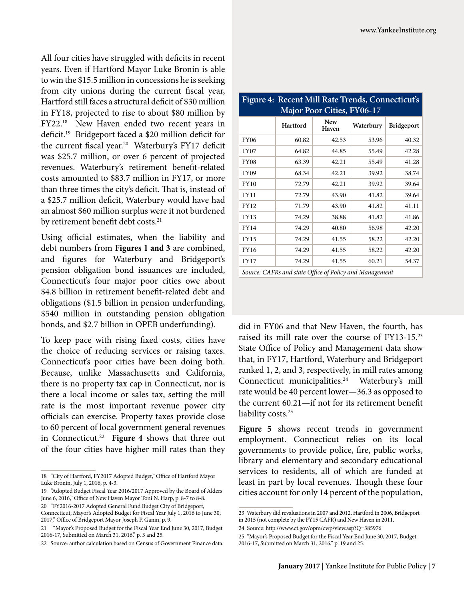All four cities have struggled with deficits in recent years. Even if Hartford Mayor Luke Bronin is able to win the \$15.5 million in concessions he is seeking from city unions during the current fiscal year, Hartford still faces a structural deficit of \$30 million in FY18, projected to rise to about \$80 million by FY22.18 New Haven ended two recent years in deficit.19 Bridgeport faced a \$20 million deficit for the current fiscal year.<sup>20</sup> Waterbury's FY17 deficit was \$25.7 million, or over 6 percent of projected revenues. Waterbury's retirement benefit-related costs amounted to \$83.7 million in FY17, or more than three times the city's deficit. That is, instead of a \$25.7 million deficit, Waterbury would have had an almost \$60 million surplus were it not burdened by retirement benefit debt costs.<sup>21</sup>

Using official estimates, when the liability and debt numbers from **Figures 1 and 3** are combined, and figures for Waterbury and Bridgeport's pension obligation bond issuances are included, Connecticut's four major poor cities owe about \$4.8 billion in retirement benefit-related debt and obligations (\$1.5 billion in pension underfunding, \$540 million in outstanding pension obligation bonds, and \$2.7 billion in OPEB underfunding).

To keep pace with rising fixed costs, cities have the choice of reducing services or raising taxes. Connecticut's poor cities have been doing both. Because, unlike Massachusetts and California, there is no property tax cap in Connecticut, nor is there a local income or sales tax, setting the mill rate is the most important revenue power city officials can exercise. Property taxes provide close to 60 percent of local government general revenues in Connecticut.<sup>22</sup> **Figure 4** shows that three out of the four cities have higher mill rates than they

| $\mathbf{r}$<br>Recent Billi Rute Hendo, Connecticuto<br><b>Major Poor Cities, FY06-17</b> |                                                         |                     |           |                   |  |  |
|--------------------------------------------------------------------------------------------|---------------------------------------------------------|---------------------|-----------|-------------------|--|--|
|                                                                                            | Hartford                                                | <b>New</b><br>Haven | Waterbury | <b>Bridgeport</b> |  |  |
| <b>FY06</b>                                                                                | 60.82                                                   | 42.53               | 53.96     | 40.32             |  |  |
| <b>FY07</b>                                                                                | 64.82                                                   | 44.85               | 55.49     | 42.28             |  |  |
| <b>FY08</b>                                                                                | 63.39                                                   | 42.21               | 55.49     | 41.28             |  |  |
| <b>FY09</b>                                                                                | 68.34                                                   | 42.21               | 39.92     | 38.74             |  |  |
| <b>FY10</b>                                                                                | 72.79                                                   | 42.21               | 39.92     | 39.64             |  |  |
| FY11                                                                                       | 72.79                                                   | 43.90               | 41.82     | 39.64             |  |  |
| <b>FY12</b>                                                                                | 71.79                                                   | 43.90               | 41.82     | 41.11             |  |  |
| <b>FY13</b>                                                                                | 74.29                                                   | 38.88               | 41.82     | 41.86             |  |  |
| <b>FY14</b>                                                                                | 74.29                                                   | 40.80               | 56.98     | 42.20             |  |  |
| <b>FY15</b>                                                                                | 74.29                                                   | 41.55               | 58.22     | 42.20             |  |  |
| <b>FY16</b>                                                                                | 74.29                                                   | 41.55               | 58.22     | 42.20             |  |  |
| <b>FY17</b>                                                                                | 74.29                                                   | 41.55               | 60.21     | 54.37             |  |  |
|                                                                                            | Source: CAFRs and state Office of Policy and Management |                     |           |                   |  |  |

**Figure 4: Recent Mill Rate Trends, Connecticut's** 

did in FY06 and that New Haven, the fourth, has raised its mill rate over the course of FY13-15.23 State Office of Policy and Management data show that, in FY17, Hartford, Waterbury and Bridgeport ranked 1, 2, and 3, respectively, in mill rates among Connecticut municipalities.24 Waterbury's mill rate would be 40 percent lower—36.3 as opposed to the current 60.21—if not for its retirement benefit liability costs.<sup>25</sup>

**Figure 5** shows recent trends in government employment. Connecticut relies on its local governments to provide police, fire, public works, library and elementary and secondary educational services to residents, all of which are funded at least in part by local revenues. Though these four cities account for only 14 percent of the population,

<sup>18 &</sup>quot;City of Hartford, FY2017 Adopted Budget," Office of Hartford Mayor Luke Bronin, July 1, 2016, p. 4-3.

<sup>19 &</sup>quot;Adopted Budget Fiscal Year 2016/2017 Approved by the Board of Alders June 6, 2016," Office of New Haven Mayor Toni N. Harp, p. 8-7 to 8-8.

<sup>20 &</sup>quot;FY2016-2017 Adopted General Fund Budget City of Bridgeport, Connecticut, Mayor's Adopted Budget for Fiscal Year July 1, 2016 to June 30,

<sup>2017,&</sup>quot; Office of Bridgeport Mayor Joseph P. Ganin, p. 9. 21 "Mayor's Proposed Budget for the Fiscal Year End June 30, 2017, Budget

<sup>2016-17,</sup> Submitted on March 31, 2016," p. 3 and 25.

<sup>22</sup> Source: author calculation based on Census of Government Finance data.

<sup>23</sup> Waterbury did revaluations in 2007 and 2012, Hartford in 2006, Bridgeport in 2015 (not complete by the FY15 CAFR) and New Haven in 2011.

<sup>24</sup> Source: http://www.ct.gov/opm/cwp/view.asp?Q=385976

<sup>25 &</sup>quot;Mayor's Proposed Budget for the Fiscal Year End June 30, 2017, Budget 2016-17, Submitted on March 31, 2016," p. 19 and 25.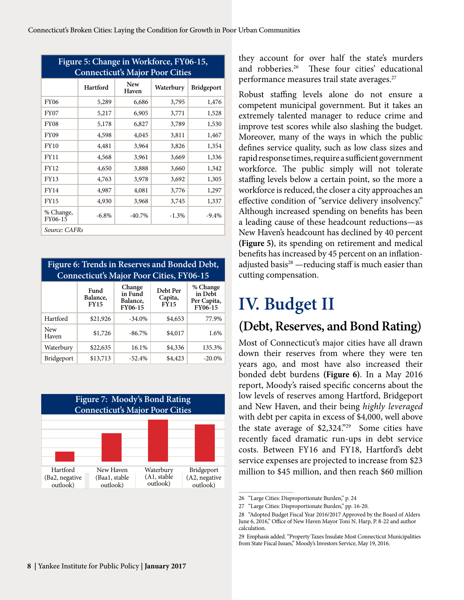| Figure 5: Change in Workforce, FY06-15, |                                        |              |           |            |  |  |  |
|-----------------------------------------|----------------------------------------|--------------|-----------|------------|--|--|--|
|                                         | <b>Connecticut's Major Poor Cities</b> |              |           |            |  |  |  |
|                                         | Hartford                               | New<br>Haven | Waterbury | Bridgeport |  |  |  |
| <b>FY06</b>                             | 5,289                                  | 6,686        | 3,795     | 1,476      |  |  |  |
| <b>FY07</b>                             | 5,217                                  | 6,905        | 3,771     | 1,528      |  |  |  |
| <b>FY08</b>                             | 5,178                                  | 6,827        | 3,789     | 1,530      |  |  |  |
| FY09                                    | 4,598                                  | 4,045        | 3,811     | 1,467      |  |  |  |
| <b>FY10</b>                             | 4,481                                  | 3,964        | 3,826     | 1,354      |  |  |  |
| <b>FY11</b>                             | 4,568                                  | 3,961        | 3,669     | 1,336      |  |  |  |
| <b>FY12</b>                             | 4,650                                  | 3,888        | 3,660     | 1,342      |  |  |  |
| FY13                                    | 4,763                                  | 3,978        | 3,692     | 1,305      |  |  |  |
| FY14                                    | 4,987                                  | 4,081        | 3,776     | 1,297      |  |  |  |
| <b>FY15</b>                             | 4,930                                  | 3,968        | 3,745     | 1,337      |  |  |  |
| % Change,<br>FY06-15                    | $-6.8\%$                               | $-40.7\%$    | $-1.3%$   | $-9.4\%$   |  |  |  |
| Source: CAFRs                           |                                        |              |           |            |  |  |  |

| Figure 6: Trends in Reserves and Bonded Debt, |
|-----------------------------------------------|
| Connecticut's Major Poor Cities, FY06-15      |

|                   | Fund<br>Balance,<br><b>FY15</b> | Change<br>in Fund<br><b>Balance</b> .<br>FY06-15 | Debt Per<br>Capita,<br><b>FY15</b> | % Change<br>in Debt<br>Per Capita,<br>FY06-15 |
|-------------------|---------------------------------|--------------------------------------------------|------------------------------------|-----------------------------------------------|
| Hartford          | \$21,926                        | $-34.0\%$                                        | \$4,653                            | 77.9%                                         |
| New<br>Haven      | \$1,726                         | $-86.7\%$                                        | \$4,017                            | 1.6%                                          |
| Waterbury         | \$22,635                        | 16.1%                                            | \$4,336                            | 135.3%                                        |
| <b>Bridgeport</b> | \$13,713                        | $-52.4%$                                         | \$4,423                            | $-20.0\%$                                     |



they account for over half the state's murders and robberies.26 These four cities' educational performance measures trail state averages.<sup>27</sup>

Robust staffing levels alone do not ensure a competent municipal government. But it takes an extremely talented manager to reduce crime and improve test scores while also slashing the budget. Moreover, many of the ways in which the public defines service quality, such as low class sizes and rapid response times, require a sufficient government workforce. The public simply will not tolerate staffing levels below a certain point, so the more a workforce is reduced, the closer a city approaches an effective condition of "service delivery insolvency." Although increased spending on benefits has been a leading cause of these headcount reductions—as New Haven's headcount has declined by 40 percent **(Figure 5)**, its spending on retirement and medical benefits has increased by 45 percent on an inflationadjusted basis<sup>28</sup> —reducing staff is much easier than cutting compensation.

# **IV. Budget II**

#### **(Debt, Reserves, and Bond Rating)**

Most of Connecticut's major cities have all drawn down their reserves from where they were ten years ago, and most have also increased their bonded debt burdens **(Figure 6)**. In a May 2016 report, Moody's raised specific concerns about the low levels of reserves among Hartford, Bridgeport and New Haven, and their being *highly leveraged*  with debt per capita in excess of \$4,000, well above the state average of \$2,324."29 Some cities have recently faced dramatic run-ups in debt service costs. Between FY16 and FY18, Hartford's debt service expenses are projected to increase from \$23 million to \$45 million, and then reach \$60 million

<sup>26 &</sup>quot;Large Cities: Disproportionate Burden," p. 24

<sup>27 &</sup>quot;Large Cities: Disproportionate Burden," pp. 16-20.

<sup>28 &</sup>quot;Adopted Budget Fiscal Year 2016/2017 Approved by the Board of Alders June 6, 2016," Office of New Haven Mayor Toni N. Harp, P. 8-22 and author calculation.

<sup>29</sup> Emphasis added. "Property Taxes Insulate Most Connecticut Municipalities from State Fiscal Issues," Moody's Investors Service, May 19, 2016.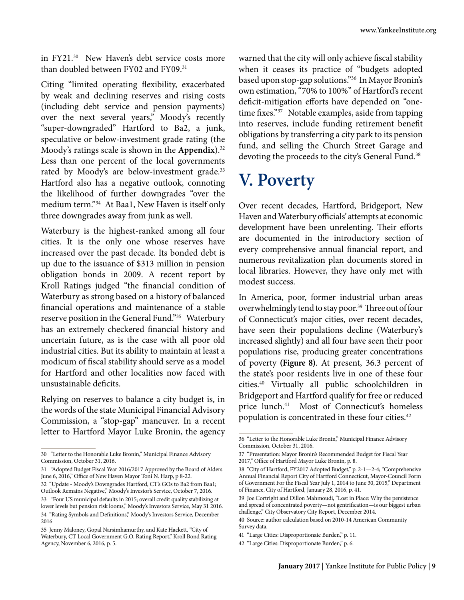in FY21.30 New Haven's debt service costs more than doubled between FY02 and FY09.<sup>31</sup>

Citing "limited operating flexibility, exacerbated by weak and declining reserves and rising costs (including debt service and pension payments) over the next several years," Moody's recently "super-downgraded" Hartford to Ba2, a junk, speculative or below-investment grade rating (the Moody's ratings scale is shown in the **Appendix**).32 Less than one percent of the local governments rated by Moody's are below-investment grade.<sup>33</sup> Hartford also has a negative outlook, connoting the likelihood of further downgrades "over the medium term."34 At Baa1, New Haven is itself only three downgrades away from junk as well.

Waterbury is the highest-ranked among all four cities. It is the only one whose reserves have increased over the past decade. Its bonded debt is up due to the issuance of \$313 million in pension obligation bonds in 2009. A recent report by Kroll Ratings judged "the financial condition of Waterbury as strong based on a history of balanced financial operations and maintenance of a stable reserve position in the General Fund."35 Waterbury has an extremely checkered financial history and uncertain future, as is the case with all poor old industrial cities. But its ability to maintain at least a modicum of fiscal stability should serve as a model for Hartford and other localities now faced with unsustainable deficits.

Relying on reserves to balance a city budget is, in the words of the state Municipal Financial Advisory Commission, a "stop-gap" maneuver. In a recent letter to Hartford Mayor Luke Bronin, the agency

warned that the city will only achieve fiscal stability when it ceases its practice of "budgets adopted based upon stop-gap solutions."36 In Mayor Bronin's own estimation, "70% to 100%" of Hartford's recent deficit-mitigation efforts have depended on "onetime fixes."<sup>37</sup> Notable examples, aside from tapping into reserves, include funding retirement benefit obligations by transferring a city park to its pension fund, and selling the Church Street Garage and devoting the proceeds to the city's General Fund.<sup>38</sup>

# **V. Poverty**

Over recent decades, Hartford, Bridgeport, New Haven and Waterbury officials' attempts at economic development have been unrelenting. Their efforts are documented in the introductory section of every comprehensive annual financial report, and numerous revitalization plan documents stored in local libraries. However, they have only met with modest success.

In America, poor, former industrial urban areas overwhelmingly tend to stay poor.<sup>39</sup> Three out of four of Connecticut's major cities, over recent decades, have seen their populations decline (Waterbury's increased slightly) and all four have seen their poor populations rise, producing greater concentrations of poverty **(Figure 8)**. At present, 36.3 percent of the state's poor residents live in one of these four cities.40 Virtually all public schoolchildren in Bridgeport and Hartford qualify for free or reduced price lunch.<sup>41</sup> Most of Connecticut's homeless population is concentrated in these four cities.42

<sup>30 &</sup>quot;Letter to the Honorable Luke Bronin," Municipal Finance Advisory Commission, October 31, 2016.

<sup>31 &</sup>quot;Adopted Budget Fiscal Year 2016/2017 Approved by the Board of Alders June 6, 2016," Office of New Haven Mayor Toni N. Harp, p 8-22.

<sup>32 &</sup>quot;Update - Moody's Downgrades Hartford, CT's GOs to Ba2 from Baa1; Outlook Remains Negative," Moody's Investor's Service, October 7, 2016. 33 "Four US municipal defaults in 2015; overall credit quality stabilizing at lower levels but pension risk looms," Moody's Investors Service, May 31 2016. 34 "Rating Symbols and Definitions," Moody's Investors Service, December 2016

<sup>35</sup> Jenny Maloney, Gopal Narsimhamurthy, and Kate Hackett, "City of Waterbury, CT Local Government G.O. Rating Report," Kroll Bond Rating Agency, November 6, 2016, p. 5.

<sup>36 &</sup>quot;Letter to the Honorable Luke Bronin," Municipal Finance Advisory Commission, October 31, 2016.

<sup>37 &</sup>quot;Presentation: Mayor Bronin's Recommended Budget for Fiscal Year 2017," Office of Hartford Mayor Luke Bronin, p. 8.

<sup>38 &</sup>quot;City of Hartford, FY2017 Adopted Budget," p. 2-1—2-4; "Comprehensive Annual Financial Report City of Hartford Connecticut, Mayor-Council Form of Government For the Fiscal Year July 1, 2014 to June 30, 2015," Department of Finance, City of Hartford, January 28, 2016, p. 41.

<sup>39</sup> Joe Cortright and Dillon Mahmoudi, "Lost in Place: Why the persistence and spread of concentrated poverty—not gentrification—is our biggest urban challenge," City Observatory City Report, December 2014.

<sup>40</sup> Source: author calculation based on 2010-14 American Community Survey data.

<sup>41 &</sup>quot;Large Cities: Disproportionate Burden," p. 11.

<sup>42 &</sup>quot;Large Cities: Disproportionate Burden," p. 6.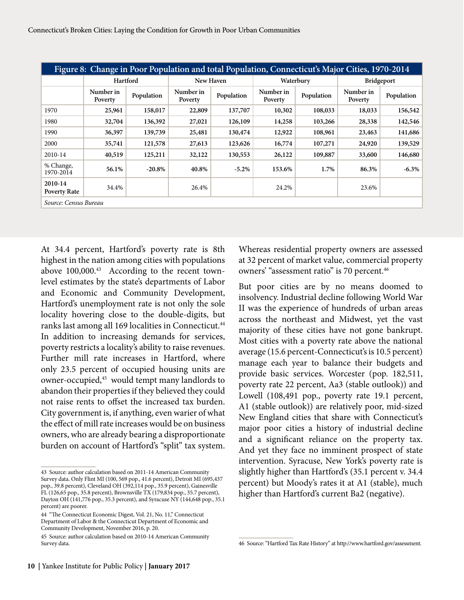| Figure 8: Change in Poor Population and total Population, Connecticut's Major Cities, 1970-2014 |                      |            |                      |            |                      |            |                      |                   |  |
|-------------------------------------------------------------------------------------------------|----------------------|------------|----------------------|------------|----------------------|------------|----------------------|-------------------|--|
|                                                                                                 | Hartford             |            | New Haven            |            |                      | Waterbury  |                      | <b>Bridgeport</b> |  |
|                                                                                                 | Number in<br>Poverty | Population | Number in<br>Poverty | Population | Number in<br>Poverty | Population | Number in<br>Poverty | Population        |  |
| 1970                                                                                            | 25,961               | 158,017    | 22,809               | 137,707    | 10,302               | 108,033    | 18,033               | 156,542           |  |
| 1980                                                                                            | 32,704               | 136,392    | 27,021               | 126,109    | 14,258               | 103,266    | 28,338               | 142,546           |  |
| 1990                                                                                            | 36,397               | 139,739    | 25,481               | 130,474    | 12,922               | 108,961    | 23,463               | 141,686           |  |
| 2000                                                                                            | 35,741               | 121,578    | 27,613               | 123,626    | 16,774               | 107,271    | 24,920               | 139,529           |  |
| 2010-14                                                                                         | 40,519               | 125,211    | 32,122               | 130,553    | 26,122               | 109,887    | 33,600               | 146,680           |  |
| % Change,<br>1970-2014                                                                          | 56.1%                | $-20.8%$   | 40.8%                | $-5.2\%$   | 153.6%               | 1.7%       | 86.3%                | $-6.3\%$          |  |
| 2010-14<br><b>Poverty Rate</b>                                                                  | 34.4%                |            | 26.4%                |            | 24.2%                |            | 23.6%                |                   |  |
| Source: Census Bureau                                                                           |                      |            |                      |            |                      |            |                      |                   |  |

At 34.4 percent, Hartford's poverty rate is 8th highest in the nation among cities with populations above 100,000.<sup>43</sup> According to the recent townlevel estimates by the state's departments of Labor and Economic and Community Development, Hartford's unemployment rate is not only the sole locality hovering close to the double-digits, but ranks last among all 169 localities in Connecticut.<sup>44</sup> In addition to increasing demands for services, poverty restricts a locality's ability to raise revenues. Further mill rate increases in Hartford, where only 23.5 percent of occupied housing units are owner-occupied,<sup>45</sup> would tempt many landlords to abandon their properties if they believed they could not raise rents to offset the increased tax burden. City government is, if anything, even warier of what the effect of mill rate increases would be on business owners, who are already bearing a disproportionate burden on account of Hartford's "split" tax system.

Whereas residential property owners are assessed at 32 percent of market value, commercial property owners' "assessment ratio" is 70 percent.<sup>46</sup>

But poor cities are by no means doomed to insolvency. Industrial decline following World War II was the experience of hundreds of urban areas across the northeast and Midwest, yet the vast majority of these cities have not gone bankrupt. Most cities with a poverty rate above the national average (15.6 percent-Connecticut's is 10.5 percent) manage each year to balance their budgets and provide basic services. Worcester (pop. 182,511, poverty rate 22 percent, Aa3 (stable outlook)) and Lowell (108,491 pop., poverty rate 19.1 percent, A1 (stable outlook)) are relatively poor, mid-sized New England cities that share with Connecticut's major poor cities a history of industrial decline and a significant reliance on the property tax. And yet they face no imminent prospect of state intervention. Syracuse, New York's poverty rate is slightly higher than Hartford's (35.1 percent v. 34.4 percent) but Moody's rates it at A1 (stable), much higher than Hartford's current Ba2 (negative).

<sup>43</sup> Source: author calculation based on 2011-14 American Community Survey data. Only Flint MI (100, 569 pop., 41.6 percent), Detroit MI (695,437 pop., 39.8 percent), Cleveland OH (392,114 pop., 35.9 percent), Gainesville FL (126,65 pop., 35.8 percent), Brownsville TX (179,834 pop., 35.7 percent), Dayton OH (141,776 pop., 35.3 percent), and Syracuse NY (144,648 pop., 35.1 percent) are poorer.

<sup>44 &</sup>quot;The Connecticut Economic Digest, Vol. 21, No. 11," Connecticut Department of Labor & the Connecticut Department of Economic and Community Development, November 2016, p. 20.

<sup>45</sup> Source: author calculation based on 2010-14 American Community Survey data.

<sup>46</sup> Source: "Hartford Tax Rate History" at http://www.hartford.gov/assessment.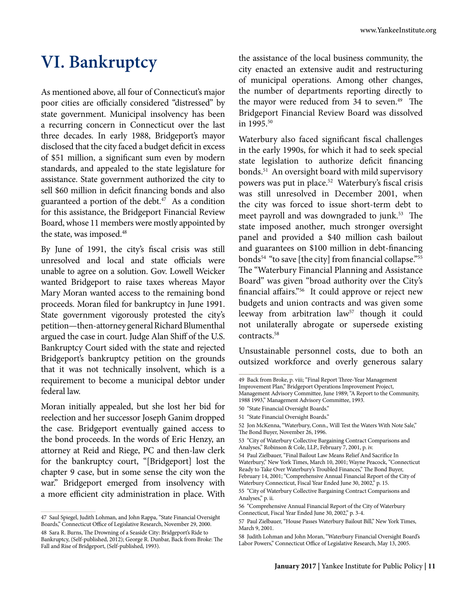# **VI. Bankruptcy**

As mentioned above, all four of Connecticut's major poor cities are officially considered "distressed" by state government. Municipal insolvency has been a recurring concern in Connecticut over the last three decades. In early 1988, Bridgeport's mayor disclosed that the city faced a budget deficit in excess of \$51 million, a significant sum even by modern standards, and appealed to the state legislature for assistance. State government authorized the city to sell \$60 million in deficit financing bonds and also guaranteed a portion of the debt. $47$  As a condition for this assistance, the Bridgeport Financial Review Board, whose 11 members were mostly appointed by the state, was imposed.<sup>48</sup>

By June of 1991, the city's fiscal crisis was still unresolved and local and state officials were unable to agree on a solution. Gov. Lowell Weicker wanted Bridgeport to raise taxes whereas Mayor Mary Moran wanted access to the remaining bond proceeds. Moran filed for bankruptcy in June 1991. State government vigorously protested the city's petition—then-attorney general Richard Blumenthal argued the case in court. Judge Alan Shiff of the U.S. Bankruptcy Court sided with the state and rejected Bridgeport's bankruptcy petition on the grounds that it was not technically insolvent, which is a requirement to become a municipal debtor under federal law.

Moran initially appealed, but she lost her bid for reelection and her successor Joseph Ganim dropped the case. Bridgeport eventually gained access to the bond proceeds. In the words of Eric Henzy, an attorney at Reid and Riege, PC and then-law clerk for the bankruptcy court, "[Bridgeport] lost the chapter 9 case, but in some sense the city won the war." Bridgeport emerged from insolvency with a more efficient city administration in place. With

the assistance of the local business community, the city enacted an extensive audit and restructuring of municipal operations. Among other changes, the number of departments reporting directly to the mayor were reduced from 34 to seven.<sup>49</sup> The Bridgeport Financial Review Board was dissolved in 1995.<sup>50</sup>

Waterbury also faced significant fiscal challenges in the early 1990s, for which it had to seek special state legislation to authorize deficit financing bonds.51 An oversight board with mild supervisory powers was put in place.52 Waterbury's fiscal crisis was still unresolved in December 2001, when the city was forced to issue short-term debt to meet payroll and was downgraded to junk.<sup>53</sup> The state imposed another, much stronger oversight panel and provided a \$40 million cash bailout and guarantees on \$100 million in debt-financing bonds<sup>54</sup> "to save [the city] from financial collapse."<sup>55</sup> The "Waterbury Financial Planning and Assistance Board" was given "broad authority over the City's financial affairs."56 It could approve or reject new budgets and union contracts and was given some leeway from arbitration law<sup>57</sup> though it could not unilaterally abrogate or supersede existing contracts.<sup>58</sup>

Unsustainable personnel costs, due to both an outsized workforce and overly generous salary

Improvement Plan," Bridgeport Operations Improvement Project, Management Advisory Committee, June 1989; "A Report to the Community, 1988 1993," Management Advisory Committee, 1993.

<sup>47</sup> Saul Spiegel, Judith Lohman, and John Rappa, "State Financial Oversight Boards," Connecticut Office of Legislative Research, November 29, 2000. 48 Sara R. Burns, The Drowning of a Seaside City: Bridgeport's Ride to Bankruptcy, (Self-published, 2012); George R. Dunbar, Back from Broke: The Fall and Rise of Bridgeport, (Self-published, 1993).

<sup>49</sup> Back from Broke, p. viii; "Final Report Three-Year Management

<sup>50 &</sup>quot;State Financial Oversight Boards."

<sup>51 &</sup>quot;State Financial Oversight Boards."

<sup>52</sup> Jon McKenna, "Waterbury, Conn., Will Test the Waters With Note Sale," The Bond Buyer, November 26, 1996.

<sup>53 &</sup>quot;City of Waterbury Collective Bargaining Contract Comparisons and Analyses," Robinson & Cole, LLP., February 7, 2001, p. iv.

<sup>54</sup> Paul Zielbauer, "Final Bailout Law Means Relief And Sacrifice In Waterbury," New York Times, March 10, 2001; Wayne Peacock, "Connecticut Ready to Take Over Waterbury's Troubled Finances," The Bond Buyer, February 14, 2001; "Comprehensive Annual Financial Report of the City of Waterbury Connecticut, Fiscal Year Ended June 30, 2002," p. 15.

<sup>55 &</sup>quot;City of Waterbury Collective Bargaining Contract Comparisons and Analyses," p. ii.

<sup>56 &</sup>quot;Comprehensive Annual Financial Report of the City of Waterbury Connecticut, Fiscal Year Ended June 30, 2002," p. 3-4.

<sup>57</sup> Paul Zielbauer, "House Passes Waterbury Bailout Bill," New York Times, March 9, 2001.

<sup>58</sup> Judith Lohman and John Moran, "Waterbury Financial Oversight Board's Labor Powers," Connecticut Office of Legislative Research, May 13, 2005.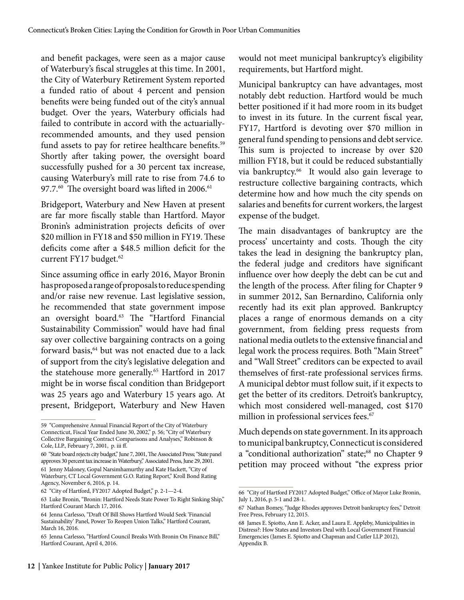and benefit packages, were seen as a major cause of Waterbury's fiscal struggles at this time. In 2001, the City of Waterbury Retirement System reported a funded ratio of about 4 percent and pension benefits were being funded out of the city's annual budget. Over the years, Waterbury officials had failed to contribute in accord with the actuariallyrecommended amounts, and they used pension fund assets to pay for retiree healthcare benefits.<sup>59</sup> Shortly after taking power, the oversight board successfully pushed for a 30 percent tax increase, causing Waterbury's mill rate to rise from 74.6 to 97.7.<sup>60</sup> The oversight board was lifted in 2006.<sup>61</sup>

Bridgeport, Waterbury and New Haven at present are far more fiscally stable than Hartford. Mayor Bronin's administration projects deficits of over \$20 million in FY18 and \$50 million in FY19. These deficits come after a \$48.5 million deficit for the current FY17 budget.<sup>62</sup>

Since assuming office in early 2016, Mayor Bronin has proposed a range of proposals to reduce spending and/or raise new revenue. Last legislative session, he recommended that state government impose an oversight board.63 The "Hartford Financial Sustainability Commission" would have had final say over collective bargaining contracts on a going forward basis,<sup>64</sup> but was not enacted due to a lack of support from the city's legislative delegation and the statehouse more generally.<sup>65</sup> Hartford in 2017 might be in worse fiscal condition than Bridgeport was 25 years ago and Waterbury 15 years ago. At present, Bridgeport, Waterbury and New Haven

would not meet municipal bankruptcy's eligibility requirements, but Hartford might.

Municipal bankruptcy can have advantages, most notably debt reduction. Hartford would be much better positioned if it had more room in its budget to invest in its future. In the current fiscal year, FY17, Hartford is devoting over \$70 million in general fund spending to pensions and debt service. This sum is projected to increase by over \$20 million FY18, but it could be reduced substantially via bankruptcy.<sup>66</sup> It would also gain leverage to restructure collective bargaining contracts, which determine how and how much the city spends on salaries and benefits for current workers, the largest expense of the budget.

The main disadvantages of bankruptcy are the process' uncertainty and costs. Though the city takes the lead in designing the bankruptcy plan, the federal judge and creditors have significant influence over how deeply the debt can be cut and the length of the process. After filing for Chapter 9 in summer 2012, San Bernardino, California only recently had its exit plan approved. Bankruptcy places a range of enormous demands on a city government, from fielding press requests from national media outlets to the extensive financial and legal work the process requires. Both "Main Street" and "Wall Street" creditors can be expected to avail themselves of first-rate professional services firms. A municipal debtor must follow suit, if it expects to get the better of its creditors. Detroit's bankruptcy, which most considered well-managed, cost \$170 million in professional services fees.<sup>67</sup>

Much depends on state government. In its approach to municipal bankruptcy, Connecticut is considered a "conditional authorization" state;<sup>68</sup> no Chapter 9 petition may proceed without "the express prior

<sup>59 &</sup>quot;Comprehensive Annual Financial Report of the City of Waterbury Connecticut, Fiscal Year Ended June 30, 2002," p. 56; "City of Waterbury Collective Bargaining Contract Comparisons and Analyses," Robinson & Cole, LLP., February 7, 2001, p. iii ff.

<sup>60 &</sup>quot;State board rejects city budget," June 7, 2001, The Associated Press; "State panel approves 30 percent tax increase in Waterbury," Associated Press, June 29, 2001. 61 Jenny Maloney, Gopal Narsimhamurthy and Kate Hackett, "City of Waterbury, CT Local Government G.O. Rating Report," Kroll Bond Rating Agency, November 6, 2016, p. 14.

<sup>62 &</sup>quot;City of Hartford, FY2017 Adopted Budget," p. 2-1—2-4.

<sup>63</sup> Luke Bronin, "Bronin: Hartford Needs State Power To Right Sinking Ship," Hartford Courant March 17, 2016.

<sup>64</sup> Jenna Carlesso, "Draft Of Bill Shows Hartford Would Seek 'Financial Sustainability' Panel, Power To Reopen Union Talks," Hartford Courant, March 16, 2016.

<sup>65</sup> Jenna Carlesso, "Hartford Council Breaks With Bronin On Finance Bill," Hartford Courant, April 4, 2016.

<sup>66 &</sup>quot;City of Hartford FY2017 Adopted Budget," Office of Mayor Luke Bronin, July 1, 2016, p. 5-1 and 28-1.

<sup>67</sup> Nathan Bomey, "Judge Rhodes approves Detroit bankruptcy fees," Detroit Free Press, February 12, 2015.

<sup>68</sup> James E. Spiotto, Ann E. Acker, and Laura E. Appleby, Municipalities in Distress?: How States and Investors Deal with Local Government Financial Emergencies (James E. Spiotto and Chapman and Cutler LLP 2012), Appendix B.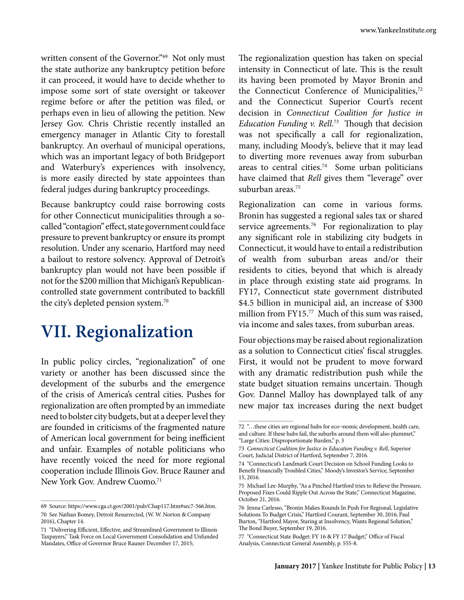written consent of the Governor."<sup>69</sup> Not only must the state authorize any bankruptcy petition before it can proceed, it would have to decide whether to impose some sort of state oversight or takeover regime before or after the petition was filed, or perhaps even in lieu of allowing the petition. New Jersey Gov. Chris Christie recently installed an emergency manager in Atlantic City to forestall bankruptcy. An overhaul of municipal operations, which was an important legacy of both Bridgeport and Waterbury's experiences with insolvency, is more easily directed by state appointees than federal judges during bankruptcy proceedings.

Because bankruptcy could raise borrowing costs for other Connecticut municipalities through a socalled "contagion" effect, state government could face pressure to prevent bankruptcy or ensure its prompt resolution. Under any scenario, Hartford may need a bailout to restore solvency. Approval of Detroit's bankruptcy plan would not have been possible if not for the \$200 million that Michigan's Republicancontrolled state government contributed to backfill the city's depleted pension system.<sup>70</sup>

### **VII. Regionalization**

In public policy circles, "regionalization" of one variety or another has been discussed since the development of the suburbs and the emergence of the crisis of America's central cities. Pushes for regionalization are often prompted by an immediate need to bolster city budgets, but at a deeper level they are founded in criticisms of the fragmented nature of American local government for being inefficient and unfair. Examples of notable politicians who have recently voiced the need for more regional cooperation include Illinois Gov. Bruce Rauner and New York Gov. Andrew Cuomo.<sup>71</sup>

The regionalization question has taken on special intensity in Connecticut of late. This is the result its having been promoted by Mayor Bronin and the Connecticut Conference of Municipalities,<sup>72</sup> and the Connecticut Superior Court's recent decision in *Connecticut Coalition for Justice in Education Funding v. Rell*. 73 Though that decision was not specifically a call for regionalization, many, including Moody's, believe that it may lead to diverting more revenues away from suburban areas to central cities.74 Some urban politicians have claimed that *Rell* gives them "leverage" over suburban areas.<sup>75</sup>

Regionalization can come in various forms. Bronin has suggested a regional sales tax or shared service agreements.<sup>76</sup> For regionalization to play any significant role in stabilizing city budgets in Connecticut, it would have to entail a redistribution of wealth from suburban areas and/or their residents to cities, beyond that which is already in place through existing state aid programs. In FY17, Connecticut state government distributed \$4.5 billion in municipal aid, an increase of \$300 million from FY15.<sup>77</sup> Much of this sum was raised, via income and sales taxes, from suburban areas.

Four objections may be raised about regionalization as a solution to Connecticut cities' fiscal struggles. First, it would not be prudent to move forward with any dramatic redistribution push while the state budget situation remains uncertain. Though Gov. Dannel Malloy has downplayed talk of any new major tax increases during the next budget

<sup>69</sup> Source: https://www.cga.ct.gov/2001/pub/Chap117.htm#sec7-566.htm. 70 See Nathan Bomey, Detroit Resurrected, (W. W. Norton & Company 2016), Chapter 14.

<sup>71 &</sup>quot;Delivering Efficient, Effective, and Streamlined Government to Illinois Taxpayers," Task Force on Local Government Consolidation and Unfunded Mandates, Office of Governor Bruce Rauner December 17, 2015;

<sup>72 &</sup>quot;…these cities are regional hubs for eco¬nomic development, health care, and culture. If these hubs fail, the suburbs around them will also plummet," "Large Cities: Disproportionate Burden," p. 3

<sup>73</sup> *Connecticut Coalition for Justice in Education Funding v. Rell*, Superior Court, Judicial District of Hartford, September 7, 2016.

<sup>74 &</sup>quot;Connecticut's Landmark Court Decision on School Funding Looks to Benefit Financially Troubled Cities," Moody's Investor's Service, September 15, 2016.

<sup>75</sup> Michael Lee-Murphy, "As a Pinched Hartford tries to Relieve the Pressure, Proposed Fixes Could Ripple Out Across the State," Connecticut Magazine, October 21, 2016.

<sup>76</sup> Jenna Carlesso, "Bronin Makes Rounds In Push For Regional, Legislative Solutions To Budget Crisis," Hartford Courant, September 30, 2016; Paul Burton, "Hartford Mayor, Staring at Insolvency, Wants Regional Solution," The Bond Buyer, September 19, 2016.

<sup>77 &</sup>quot;Connecticut State Budget: FY 16 & FY 17 Budget," Office of Fiscal Analysis, Connecticut General Assembly, p. 555-8.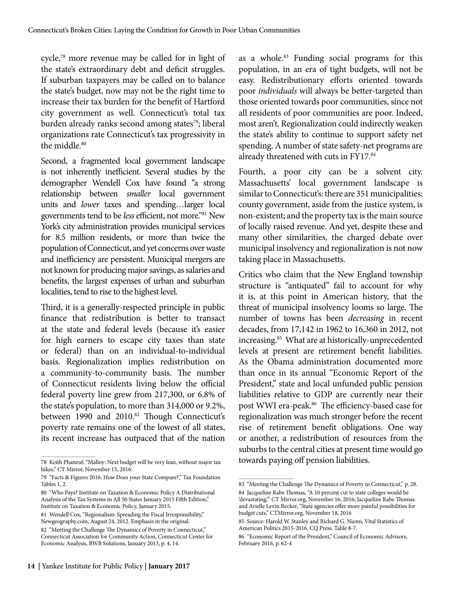cycle,78 more revenue may be called for in light of the state's extraordinary debt and deficit struggles. If suburban taxpayers may be called on to balance the state's budget, now may not be the right time to increase their tax burden for the benefit of Hartford city government as well. Connecticut's total tax burden already ranks second among states<sup>79</sup>; liberal organizations rate Connecticut's tax progressivity in the middle.<sup>80</sup>

Second, a fragmented local government landscape is not inherently inefficient. Several studies by the demographer Wendell Cox have found "a strong relationship between *smaller* local government units and *lower* taxes and spending…larger local governments tend to be *less* efficient, not more."81 New York's city administration provides municipal services for 8.5 million residents, or more than twice the population of Connecticut, and yet concerns over waste and inefficiency are persistent. Municipal mergers are not known for producing major savings, as salaries and benefits, the largest expenses of urban and suburban localities, tend to rise to the highest level.

Third, it is a generally-respected principle in public finance that redistribution is better to transact at the state and federal levels (because it's easier for high earners to escape city taxes than state or federal) than on an individual-to-individual basis. Regionalization implies redistribution on a community-to-community basis. The number of Connecticut residents living below the official federal poverty line grew from 217,300, or 6.8% of the state's population, to more than 314,000 or 9.2%, between 1990 and 2010.<sup>82</sup> Though Connecticut's poverty rate remains one of the lowest of all states, its recent increase has outpaced that of the nation

as a whole.<sup>83</sup> Funding social programs for this population, in an era of tight budgets, will not be easy. Redistributionary efforts oriented towards poor *individuals* will always be better-targeted than those oriented towards poor communities, since not all residents of poor communities are poor. Indeed, most aren't. Regionalization could indirectly weaken the state's ability to continue to support safety net spending. A number of state safety-net programs are already threatened with cuts in FY17.84

Fourth, a poor city can be a solvent city. Massachusetts' local government landscape is similar to Connecticut's: there are 351 municipalities; county government, aside from the justice system, is non-existent; and the property tax is the main source of locally raised revenue. And yet, despite these and many other similarities, the charged debate over municipal insolvency and regionalization is not now taking place in Massachusetts.

Critics who claim that the New England township structure is "antiquated" fail to account for why it is, at this point in American history, that the threat of municipal insolvency looms so large. The number of towns has been *decreasing* in recent decades, from 17,142 in 1962 to 16,360 in 2012, not increasing.85 What are at historically-unprecedented levels at present are retirement benefit liabilities. As the Obama administration documented more than once in its annual "Economic Report of the President," state and local unfunded public pension liabilities relative to GDP are currently near their post WWI era-peak.<sup>86</sup> The efficiency-based case for regionalization was much stronger before the recent rise of retirement benefit obligations. One way or another, a redistribution of resources from the suburbs to the central cities at present time would go towards paying off pension liabilities.

<sup>78</sup> Keith Phaneuf, "Malloy: Next budget will be very lean, without major tax hikes," CT Mirror, November 15, 2016.

<sup>79 &</sup>quot;Facts & Figures 2016: How Does your State Compare?," Tax Foundation Tables 1, 2.

<sup>80 &</sup>quot;Who Pays? Institute on Taxation & Economic Policy A Distributional Analysis of the Tax Systems in All 50 States January 2015 Fifth Edition," Institute on Taxation & Economic Policy, January 2015.

<sup>81</sup> Wendell Cox, "Regionalism: Spreading the Fiscal Irresponsibility," Newgeography.com, August 24, 2012. Emphasis in the original.

<sup>82 &</sup>quot;Meeting the Challenge The Dynamics of Poverty in Connecticut," Connecticut Association for Community Action, Connecticut Center for Economic Analysis, BWB Solutions, January 2013, p. 4, 14.

<sup>83 &</sup>quot;Meeting the Challenge The Dynamics of Poverty in Connecticut," p. 28. 84 Jacqueline Rabe Thomas, "A 10 percent cut to state colleges would be 'devastating,'" CT Mirror.org, November 16, 2016; Jacqueline Rabe Thomas and Arielle Levin Becker, "State agencies offer more painful possibilities for

budget cuts," CTMirror.org, November 18, 2016 85 Source: Harold W. Stanley and Richard G. Niemi, Vital Statistics of American Politics 2015-2016, CQ Press, Table 8-7.

<sup>86 &</sup>quot;Economic Report of the President," Council of Economic Advisors, February 2016, p. 62-4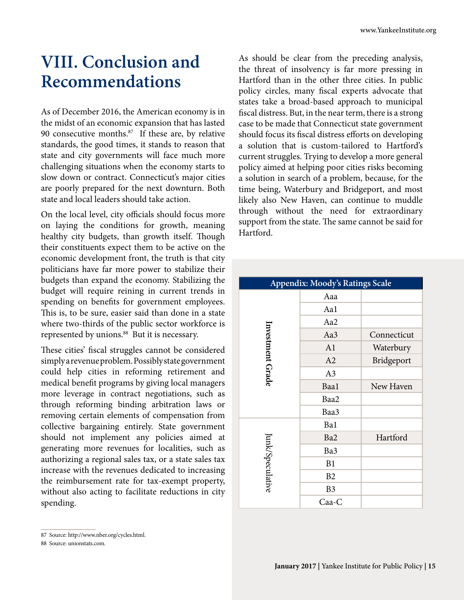### **VIII. Conclusion and Recommendations**

As of December 2016, the American economy is in the midst of an economic expansion that has lasted 90 consecutive months. $87$  If these are, by relative standards, the good times, it stands to reason that state and city governments will face much more challenging situations when the economy starts to slow down or contract. Connecticut's major cities are poorly prepared for the next downturn. Both state and local leaders should take action.

On the local level, city officials should focus more on laying the conditions for growth, meaning healthy city budgets, than growth itself. Though their constituents expect them to be active on the economic development front, the truth is that city politicians have far more power to stabilize their budgets than expand the economy. Stabilizing the budget will require reining in current trends in spending on benefits for government employees. This is, to be sure, easier said than done in a state where two-thirds of the public sector workforce is represented by unions.<sup>88</sup> But it is necessary.

These cities' fiscal struggles cannot be considered simply a revenue problem. Possibly state government could help cities in reforming retirement and medical benefit programs by giving local managers more leverage in contract negotiations, such as through reforming binding arbitration laws or removing certain elements of compensation from collective bargaining entirely. State government should not implement any policies aimed at generating more revenues for localities, such as authorizing a regional sales tax, or a state sales tax increase with the revenues dedicated to increasing the reimbursement rate for tax-exempt property, without also acting to facilitate reductions in city spending.

As should be clear from the preceding analysis, the threat of insolvency is far more pressing in Hartford than in the other three cities. In public policy circles, many fiscal experts advocate that states take a broad-based approach to municipal fiscal distress. But, in the near term, there is a strong case to be made that Connecticut state government should focus its fiscal distress efforts on developing a solution that is custom-tailored to Hartford's current struggles. Trying to develop a more general policy aimed at helping poor cities risks becoming a solution in search of a problem, because, for the time being, Waterbury and Bridgeport, and most likely also New Haven, can continue to muddle through without the need for extraordinary support from the state. The same cannot be said for Hartford.

| Appendix: Moody's Ratings Scale |                |             |  |  |  |
|---------------------------------|----------------|-------------|--|--|--|
|                                 | Aaa            |             |  |  |  |
|                                 | Aa1            |             |  |  |  |
|                                 | Aa2            |             |  |  |  |
|                                 | Aa3            | Connecticut |  |  |  |
|                                 | A1             | Waterbury   |  |  |  |
|                                 | A2             | Bridgeport  |  |  |  |
| Investment Grade                | A3             |             |  |  |  |
|                                 | Baa1           | New Haven   |  |  |  |
|                                 | Baa2           |             |  |  |  |
|                                 | Baa3           |             |  |  |  |
|                                 | Ba1            |             |  |  |  |
|                                 | Ba2            | Hartford    |  |  |  |
|                                 | Ba3            |             |  |  |  |
|                                 | B1             |             |  |  |  |
| lunk/Speculative                | B2             |             |  |  |  |
|                                 | B <sub>3</sub> |             |  |  |  |
|                                 | Caa-C          |             |  |  |  |

<sup>87</sup> Source: http://www.nber.org/cycles.html.

<sup>88</sup> Source: unionstats.com.